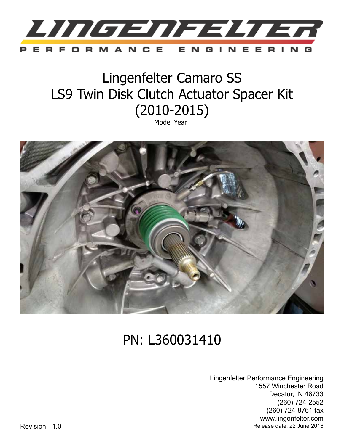

# Lingenfelter Camaro SS LS9 Twin Disk Clutch Actuator Spacer Kit (2010-2015)

Model Year



# PN: L360031410

Lingenfelter Performance Engineering 1557 Winchester Road Decatur, IN 46733 (260) 724-2552 (260) 724-8761 fax www.lingenfelter.com Revision - 1.0 **Revision - 1.0** Release date: 22 June 2016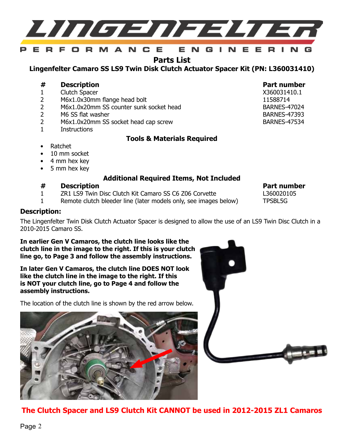

# **Parts List**

**Lingenfelter Camaro SS LS9 Twin Disk Clutch Actuator Spacer Kit (PN: L360031410)**

### **# Description Part number**

- 1 Clutch Spacer X360031410.1
- 2 M6x1.0x30mm flange head bolt 11588714
- 2 M6x1.0x20mm SS counter sunk socket head **BARNES-47024**
- 2 M6 SS flat washer *BARNES-47393*
- 2 M6x1.0x20mm SS socket head cap screw **BARNES-47534**
- 1 Instructions

# **Tools & Materials Required**

- • Ratchet
- 10 mm socket
- 4 mm hex key
- 5 mm hex key

## **Additional Required Items, Not Included**

### **# Description Part number**

- 1 ZR1 LS9 Twin Disc Clutch Kit Camaro SS C6 Z06 Corvette L360020105
- 1 Remote clutch bleeder line (later models only, see images below) TPSBL5G

## **Description:**

The Lingenfelter Twin Disk Clutch Actuator Spacer is designed to allow the use of an LS9 Twin Disc Clutch in a 2010-2015 Camaro SS.

**In earlier Gen V Camaros, the clutch line looks like the clutch line in the image to the right. If this is your clutch line go, to Page 3 and follow the assembly instructions.**

**In later Gen V Camaros, the clutch line DOES NOT look like the clutch line in the image to the right. If this is NOT your clutch line, go to Page 4 and follow the assembly instructions.**

The location of the clutch line is shown by the red arrow below.



**The Clutch Spacer and LS9 Clutch Kit CANNOT be used in 2012-2015 ZL1 Camaros**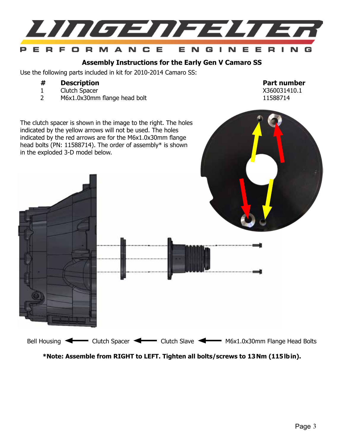

# **Assembly Instructions for the Early Gen V Camaro SS**

Use the following parts included in kit for 2010-2014 Camaro SS:

### **# Description Part number**

- 1 Clutch Spacer X360031410.1
- 2 M6x1.0x30mm flange head bolt 11588714

The clutch spacer is shown in the image to the right. The holes indicated by the yellow arrows will not be used. The holes indicated by the red arrows are for the M6x1.0x30mm flange head bolts (PN: 11588714). The order of assembly\* is shown in the exploded 3-D model below.



**\*Note: Assemble from RIGHT to LEFT. Tighten all bolts/screws to 13Nm (115lbin).**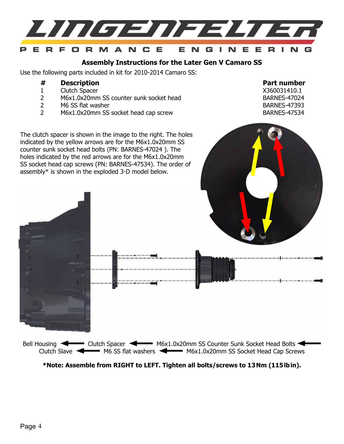

## **Assembly Instructions for the Later Gen V Camaro SS**

Use the following parts included in kit for 2010-2014 Camaro SS:

### **# Description Part number**

- 1 Clutch Spacer X360031410.1
- 2 M6x1.0x20mm SS counter sunk socket head BARNES-47024
- 2 M6 SS flat washer **Mature 3 and SS flat washer BARNES-47393**
- 2 M6x1.0x20mm SS socket head cap screw **BARNES-47534**

The clutch spacer is shown in the image to the right. The holes indicated by the yellow arrows are for the M6x1.0x20mm SS counter sunk socket head bolts (PN: BARNES-47024 ). The holes indicated by the red arrows are for the M6x1.0x20mm SS socket head cap screws (PN: BARNES-47534). The order of assembly\* is shown in the exploded 3-D model below.



**\*Note: Assemble from RIGHT to LEFT. Tighten all bolts/screws to 13Nm (115lbin).**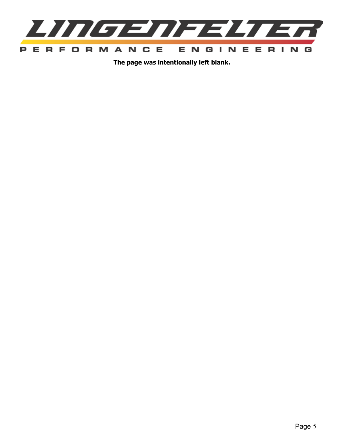

**The page was intentionally left blank.**